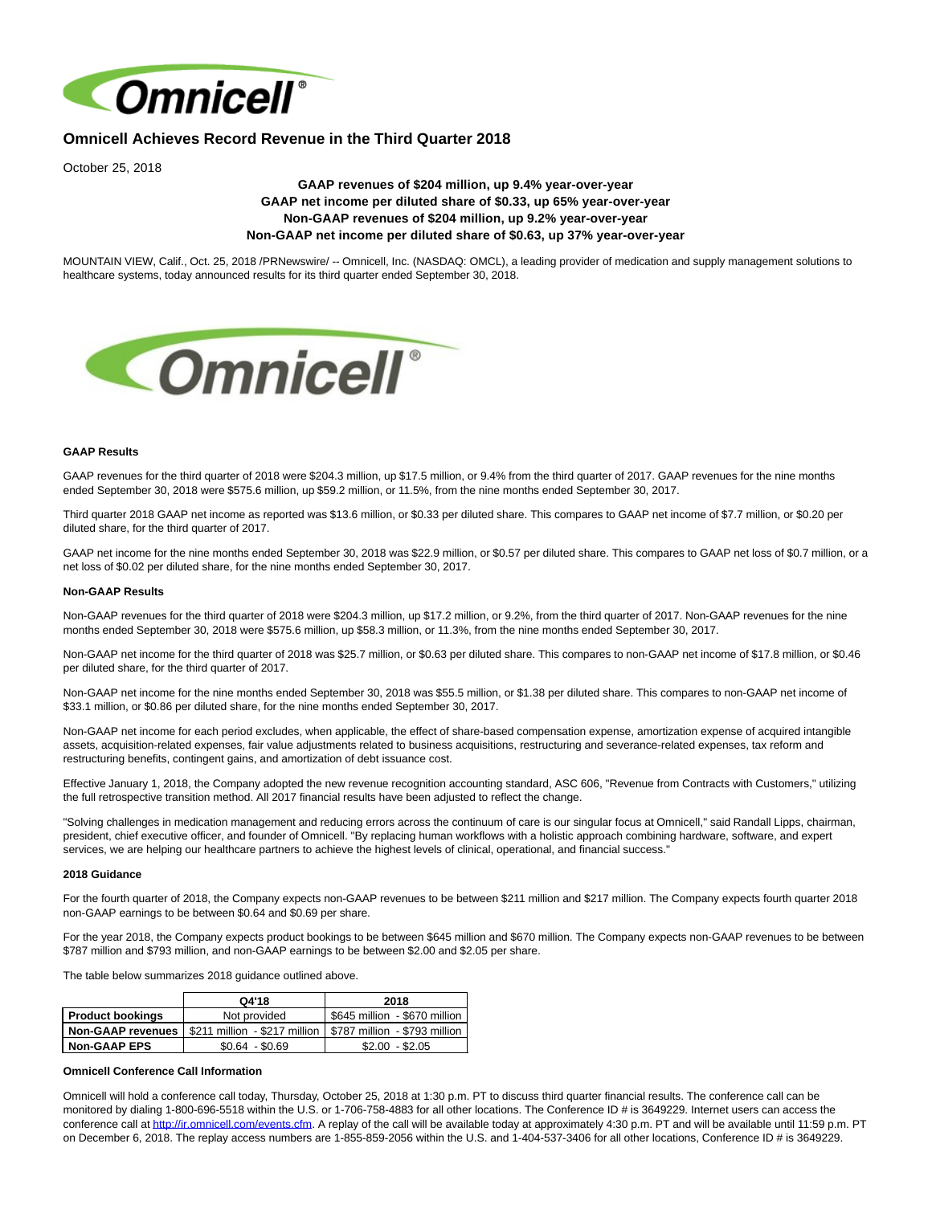

# **Omnicell Achieves Record Revenue in the Third Quarter 2018**

October 25, 2018

# **GAAP revenues of \$204 million, up 9.4% year-over-year GAAP net income per diluted share of \$0.33, up 65% year-over-year Non-GAAP revenues of \$204 million, up 9.2% year-over-year Non-GAAP net income per diluted share of \$0.63, up 37% year-over-year**

MOUNTAIN VIEW, Calif., Oct. 25, 2018 /PRNewswire/ -- Omnicell, Inc. (NASDAQ: OMCL), a leading provider of medication and supply management solutions to healthcare systems, today announced results for its third quarter ended September 30, 2018.



### **GAAP Results**

GAAP revenues for the third quarter of 2018 were \$204.3 million, up \$17.5 million, or 9.4% from the third quarter of 2017. GAAP revenues for the nine months ended September 30, 2018 were \$575.6 million, up \$59.2 million, or 11.5%, from the nine months ended September 30, 2017.

Third quarter 2018 GAAP net income as reported was \$13.6 million, or \$0.33 per diluted share. This compares to GAAP net income of \$7.7 million, or \$0.20 per diluted share, for the third quarter of 2017.

GAAP net income for the nine months ended September 30, 2018 was \$22.9 million, or \$0.57 per diluted share. This compares to GAAP net loss of \$0.7 million, or a net loss of \$0.02 per diluted share, for the nine months ended September 30, 2017.

### **Non-GAAP Results**

Non-GAAP revenues for the third quarter of 2018 were \$204.3 million, up \$17.2 million, or 9.2%, from the third quarter of 2017. Non-GAAP revenues for the nine months ended September 30, 2018 were \$575.6 million, up \$58.3 million, or 11.3%, from the nine months ended September 30, 2017.

Non-GAAP net income for the third quarter of 2018 was \$25.7 million, or \$0.63 per diluted share. This compares to non-GAAP net income of \$17.8 million, or \$0.46 per diluted share, for the third quarter of 2017.

Non-GAAP net income for the nine months ended September 30, 2018 was \$55.5 million, or \$1.38 per diluted share. This compares to non-GAAP net income of \$33.1 million, or \$0.86 per diluted share, for the nine months ended September 30, 2017.

Non-GAAP net income for each period excludes, when applicable, the effect of share-based compensation expense, amortization expense of acquired intangible assets, acquisition-related expenses, fair value adjustments related to business acquisitions, restructuring and severance-related expenses, tax reform and restructuring benefits, contingent gains, and amortization of debt issuance cost.

Effective January 1, 2018, the Company adopted the new revenue recognition accounting standard, ASC 606, "Revenue from Contracts with Customers," utilizing the full retrospective transition method. All 2017 financial results have been adjusted to reflect the change.

"Solving challenges in medication management and reducing errors across the continuum of care is our singular focus at Omnicell," said Randall Lipps, chairman, president, chief executive officer, and founder of Omnicell. "By replacing human workflows with a holistic approach combining hardware, software, and expert services, we are helping our healthcare partners to achieve the highest levels of clinical, operational, and financial success."

#### **2018 Guidance**

For the fourth quarter of 2018, the Company expects non-GAAP revenues to be between \$211 million and \$217 million. The Company expects fourth quarter 2018 non-GAAP earnings to be between \$0.64 and \$0.69 per share.

For the year 2018, the Company expects product bookings to be between \$645 million and \$670 million. The Company expects non-GAAP revenues to be between \$787 million and \$793 million, and non-GAAP earnings to be between \$2.00 and \$2.05 per share.

The table below summarizes 2018 guidance outlined above.

|                          | Q4'18                         | 2018                          |
|--------------------------|-------------------------------|-------------------------------|
| <b>Product bookings</b>  | Not provided                  | \$645 million - \$670 million |
| <b>Non-GAAP revenues</b> | \$211 million - \$217 million | S787 million - \$793 million  |
| <b>Non-GAAP EPS</b>      | $$0.64 - $0.69$               | $$2.00 - $2.05$               |

### **Omnicell Conference Call Information**

Omnicell will hold a conference call today, Thursday, October 25, 2018 at 1:30 p.m. PT to discuss third quarter financial results. The conference call can be monitored by dialing 1-800-696-5518 within the U.S. or 1-706-758-4883 for all other locations. The Conference ID # is 3649229. Internet users can access the conference call at [http://ir.omnicell.com/events.cfm.](http://ir.omnicell.com/events.cfm) A replay of the call will be available today at approximately 4:30 p.m. PT and will be available until 11:59 p.m. PT on December 6, 2018. The replay access numbers are 1-855-859-2056 within the U.S. and 1-404-537-3406 for all other locations, Conference ID # is 3649229.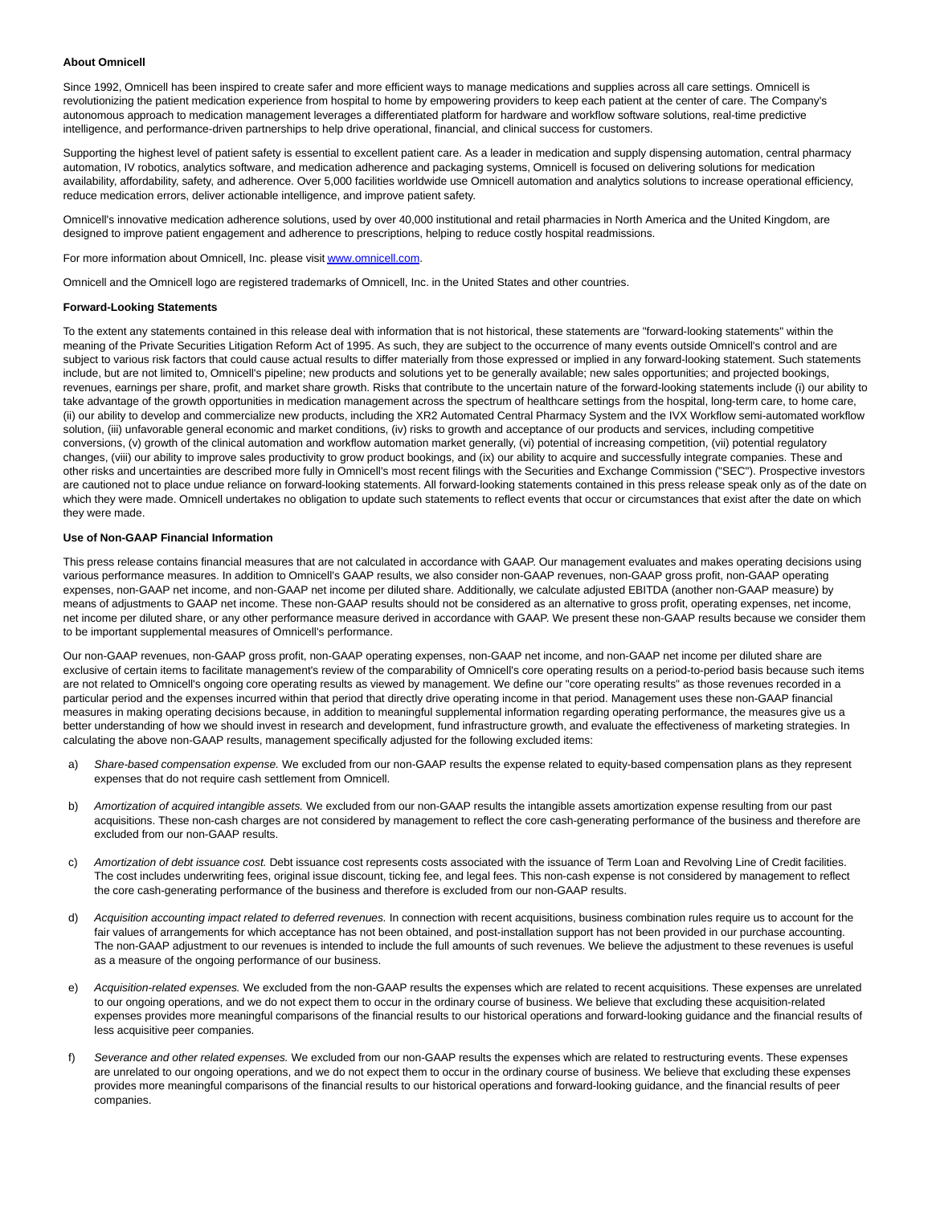#### **About Omnicell**

Since 1992, Omnicell has been inspired to create safer and more efficient ways to manage medications and supplies across all care settings. Omnicell is revolutionizing the patient medication experience from hospital to home by empowering providers to keep each patient at the center of care. The Company's autonomous approach to medication management leverages a differentiated platform for hardware and workflow software solutions, real-time predictive intelligence, and performance-driven partnerships to help drive operational, financial, and clinical success for customers.

Supporting the highest level of patient safety is essential to excellent patient care. As a leader in medication and supply dispensing automation, central pharmacy automation, IV robotics, analytics software, and medication adherence and packaging systems, Omnicell is focused on delivering solutions for medication availability, affordability, safety, and adherence. Over 5,000 facilities worldwide use Omnicell automation and analytics solutions to increase operational efficiency, reduce medication errors, deliver actionable intelligence, and improve patient safety.

Omnicell's innovative medication adherence solutions, used by over 40,000 institutional and retail pharmacies in North America and the United Kingdom, are designed to improve patient engagement and adherence to prescriptions, helping to reduce costly hospital readmissions.

For more information about Omnicell, Inc. please visit [www.omnicell.com.](http://www.omnicell.com/)

Omnicell and the Omnicell logo are registered trademarks of Omnicell, Inc. in the United States and other countries.

### **Forward-Looking Statements**

To the extent any statements contained in this release deal with information that is not historical, these statements are "forward-looking statements" within the meaning of the Private Securities Litigation Reform Act of 1995. As such, they are subject to the occurrence of many events outside Omnicell's control and are subject to various risk factors that could cause actual results to differ materially from those expressed or implied in any forward-looking statement. Such statements include, but are not limited to, Omnicell's pipeline; new products and solutions yet to be generally available; new sales opportunities; and projected bookings, revenues, earnings per share, profit, and market share growth. Risks that contribute to the uncertain nature of the forward-looking statements include (i) our ability to take advantage of the growth opportunities in medication management across the spectrum of healthcare settings from the hospital, long-term care, to home care, (ii) our ability to develop and commercialize new products, including the XR2 Automated Central Pharmacy System and the IVX Workflow semi-automated workflow solution, (iii) unfavorable general economic and market conditions, (iv) risks to growth and acceptance of our products and services, including competitive conversions, (v) growth of the clinical automation and workflow automation market generally, (vi) potential of increasing competition, (vii) potential regulatory changes, (viii) our ability to improve sales productivity to grow product bookings, and (ix) our ability to acquire and successfully integrate companies. These and other risks and uncertainties are described more fully in Omnicell's most recent filings with the Securities and Exchange Commission ("SEC"). Prospective investors are cautioned not to place undue reliance on forward-looking statements. All forward-looking statements contained in this press release speak only as of the date on which they were made. Omnicell undertakes no obligation to update such statements to reflect events that occur or circumstances that exist after the date on which they were made.

### **Use of Non-GAAP Financial Information**

This press release contains financial measures that are not calculated in accordance with GAAP. Our management evaluates and makes operating decisions using various performance measures. In addition to Omnicell's GAAP results, we also consider non-GAAP revenues, non-GAAP gross profit, non-GAAP operating expenses, non-GAAP net income, and non-GAAP net income per diluted share. Additionally, we calculate adjusted EBITDA (another non-GAAP measure) by means of adjustments to GAAP net income. These non-GAAP results should not be considered as an alternative to gross profit, operating expenses, net income, net income per diluted share, or any other performance measure derived in accordance with GAAP. We present these non-GAAP results because we consider them to be important supplemental measures of Omnicell's performance.

Our non-GAAP revenues, non-GAAP gross profit, non-GAAP operating expenses, non-GAAP net income, and non-GAAP net income per diluted share are exclusive of certain items to facilitate management's review of the comparability of Omnicell's core operating results on a period-to-period basis because such items are not related to Omnicell's ongoing core operating results as viewed by management. We define our "core operating results" as those revenues recorded in a particular period and the expenses incurred within that period that directly drive operating income in that period. Management uses these non-GAAP financial measures in making operating decisions because, in addition to meaningful supplemental information regarding operating performance, the measures give us a better understanding of how we should invest in research and development, fund infrastructure growth, and evaluate the effectiveness of marketing strategies. In calculating the above non-GAAP results, management specifically adjusted for the following excluded items:

- a) Share-based compensation expense. We excluded from our non-GAAP results the expense related to equity-based compensation plans as they represent expenses that do not require cash settlement from Omnicell.
- b) Amortization of acquired intangible assets. We excluded from our non-GAAP results the intangible assets amortization expense resulting from our past acquisitions. These non-cash charges are not considered by management to reflect the core cash-generating performance of the business and therefore are excluded from our non-GAAP results.
- c) Amortization of debt issuance cost. Debt issuance cost represents costs associated with the issuance of Term Loan and Revolving Line of Credit facilities. The cost includes underwriting fees, original issue discount, ticking fee, and legal fees. This non-cash expense is not considered by management to reflect the core cash-generating performance of the business and therefore is excluded from our non-GAAP results.
- d) Acquisition accounting impact related to deferred revenues. In connection with recent acquisitions, business combination rules require us to account for the fair values of arrangements for which acceptance has not been obtained, and post-installation support has not been provided in our purchase accounting. The non-GAAP adjustment to our revenues is intended to include the full amounts of such revenues. We believe the adjustment to these revenues is useful as a measure of the ongoing performance of our business.
- e) Acquisition-related expenses. We excluded from the non-GAAP results the expenses which are related to recent acquisitions. These expenses are unrelated to our ongoing operations, and we do not expect them to occur in the ordinary course of business. We believe that excluding these acquisition-related expenses provides more meaningful comparisons of the financial results to our historical operations and forward-looking guidance and the financial results of less acquisitive peer companies.
- f) Severance and other related expenses. We excluded from our non-GAAP results the expenses which are related to restructuring events. These expenses are unrelated to our ongoing operations, and we do not expect them to occur in the ordinary course of business. We believe that excluding these expenses provides more meaningful comparisons of the financial results to our historical operations and forward-looking guidance, and the financial results of peer companies.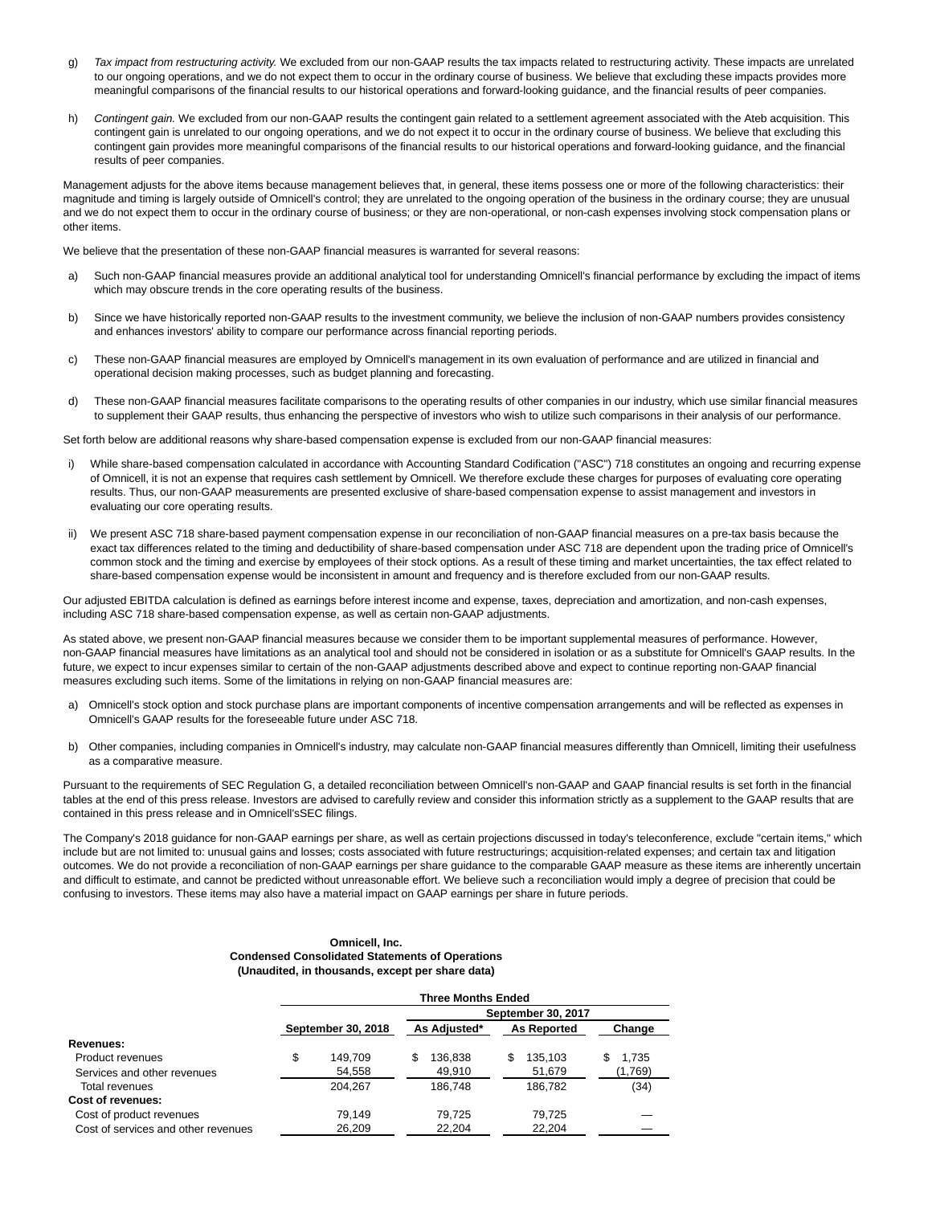- g) Tax impact from restructuring activity. We excluded from our non-GAAP results the tax impacts related to restructuring activity. These impacts are unrelated to our ongoing operations, and we do not expect them to occur in the ordinary course of business. We believe that excluding these impacts provides more meaningful comparisons of the financial results to our historical operations and forward-looking guidance, and the financial results of peer companies.
- h) Contingent gain. We excluded from our non-GAAP results the contingent gain related to a settlement agreement associated with the Ateb acquisition. This contingent gain is unrelated to our ongoing operations, and we do not expect it to occur in the ordinary course of business. We believe that excluding this contingent gain provides more meaningful comparisons of the financial results to our historical operations and forward-looking guidance, and the financial results of peer companies.

Management adjusts for the above items because management believes that, in general, these items possess one or more of the following characteristics: their magnitude and timing is largely outside of Omnicell's control; they are unrelated to the ongoing operation of the business in the ordinary course; they are unusual and we do not expect them to occur in the ordinary course of business; or they are non-operational, or non-cash expenses involving stock compensation plans or other items.

We believe that the presentation of these non-GAAP financial measures is warranted for several reasons:

- a) Such non-GAAP financial measures provide an additional analytical tool for understanding Omnicell's financial performance by excluding the impact of items which may obscure trends in the core operating results of the business.
- b) Since we have historically reported non-GAAP results to the investment community, we believe the inclusion of non-GAAP numbers provides consistency and enhances investors' ability to compare our performance across financial reporting periods.
- c) These non-GAAP financial measures are employed by Omnicell's management in its own evaluation of performance and are utilized in financial and operational decision making processes, such as budget planning and forecasting.
- d) These non-GAAP financial measures facilitate comparisons to the operating results of other companies in our industry, which use similar financial measures to supplement their GAAP results, thus enhancing the perspective of investors who wish to utilize such comparisons in their analysis of our performance.

Set forth below are additional reasons why share-based compensation expense is excluded from our non-GAAP financial measures:

- i) While share-based compensation calculated in accordance with Accounting Standard Codification ("ASC") 718 constitutes an ongoing and recurring expense of Omnicell, it is not an expense that requires cash settlement by Omnicell. We therefore exclude these charges for purposes of evaluating core operating results. Thus, our non-GAAP measurements are presented exclusive of share-based compensation expense to assist management and investors in evaluating our core operating results.
- ii) We present ASC 718 share-based payment compensation expense in our reconciliation of non-GAAP financial measures on a pre-tax basis because the exact tax differences related to the timing and deductibility of share-based compensation under ASC 718 are dependent upon the trading price of Omnicell's common stock and the timing and exercise by employees of their stock options. As a result of these timing and market uncertainties, the tax effect related to share-based compensation expense would be inconsistent in amount and frequency and is therefore excluded from our non-GAAP results.

Our adjusted EBITDA calculation is defined as earnings before interest income and expense, taxes, depreciation and amortization, and non-cash expenses, including ASC 718 share-based compensation expense, as well as certain non-GAAP adjustments.

As stated above, we present non-GAAP financial measures because we consider them to be important supplemental measures of performance. However, non-GAAP financial measures have limitations as an analytical tool and should not be considered in isolation or as a substitute for Omnicell's GAAP results. In the future, we expect to incur expenses similar to certain of the non-GAAP adjustments described above and expect to continue reporting non-GAAP financial measures excluding such items. Some of the limitations in relying on non-GAAP financial measures are:

- a) Omnicell's stock option and stock purchase plans are important components of incentive compensation arrangements and will be reflected as expenses in Omnicell's GAAP results for the foreseeable future under ASC 718.
- b) Other companies, including companies in Omnicell's industry, may calculate non-GAAP financial measures differently than Omnicell, limiting their usefulness as a comparative measure.

Pursuant to the requirements of SEC Regulation G, a detailed reconciliation between Omnicell's non-GAAP and GAAP financial results is set forth in the financial tables at the end of this press release. Investors are advised to carefully review and consider this information strictly as a supplement to the GAAP results that are contained in this press release and in Omnicell'sSEC filings.

The Company's 2018 guidance for non-GAAP earnings per share, as well as certain projections discussed in today's teleconference, exclude "certain items," which include but are not limited to: unusual gains and losses; costs associated with future restructurings; acquisition-related expenses; and certain tax and litigation outcomes. We do not provide a reconciliation of non-GAAP earnings per share guidance to the comparable GAAP measure as these items are inherently uncertain and difficult to estimate, and cannot be predicted without unreasonable effort. We believe such a reconciliation would imply a degree of precision that could be confusing to investors. These items may also have a material impact on GAAP earnings per share in future periods.

### **Omnicell, Inc. Condensed Consolidated Statements of Operations (Unaudited, in thousands, except per share data)**

|                                     |                    |         |   | <b>Three Months Ended</b> |   |                    |    |         |
|-------------------------------------|--------------------|---------|---|---------------------------|---|--------------------|----|---------|
|                                     |                    |         |   | September 30, 2017        |   |                    |    |         |
|                                     | September 30, 2018 |         |   | As Adjusted*              |   | <b>As Reported</b> |    | Change  |
| Revenues:                           |                    |         |   |                           |   |                    |    |         |
| Product revenues                    | \$                 | 149.709 | S | 136,838                   | S | 135,103            | \$ | 1.735   |
| Services and other revenues         |                    | 54,558  |   | 49.910                    |   | 51,679             |    | (1,769) |
| Total revenues                      |                    | 204.267 |   | 186.748                   |   | 186.782            |    | (34)    |
| Cost of revenues:                   |                    |         |   |                           |   |                    |    |         |
| Cost of product revenues            |                    | 79.149  |   | 79.725                    |   | 79.725             |    |         |
| Cost of services and other revenues |                    | 26,209  |   | 22,204                    |   | 22,204             |    |         |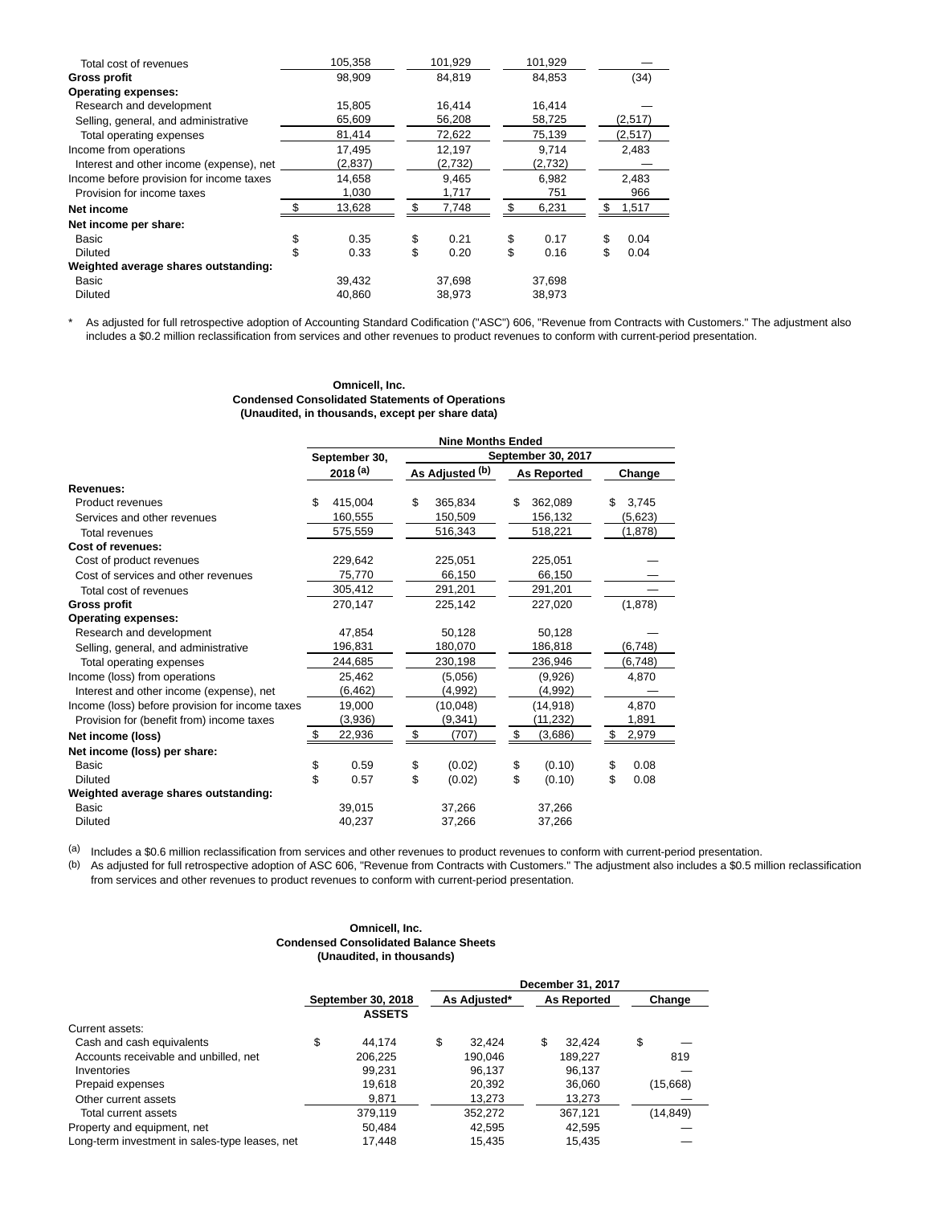| Total cost of revenues                   | 105,358    | 101,929    | 101,929    |            |
|------------------------------------------|------------|------------|------------|------------|
| Gross profit                             | 98.909     | 84.819     | 84.853     | (34)       |
| <b>Operating expenses:</b>               |            |            |            |            |
| Research and development                 | 15,805     | 16,414     | 16,414     |            |
| Selling, general, and administrative     | 65,609     | 56,208     | 58,725     | (2,517)    |
| Total operating expenses                 | 81,414     | 72,622     | 75,139     | (2,517)    |
| Income from operations                   | 17,495     | 12,197     | 9.714      | 2,483      |
| Interest and other income (expense), net | (2,837)    | (2,732)    | (2,732)    |            |
| Income before provision for income taxes | 14,658     | 9,465      | 6,982      | 2,483      |
| Provision for income taxes               | 1,030      | 1,717      | 751        | 966        |
| Net income                               | 13,628     | 7,748      | 6,231      | 1,517      |
| Net income per share:                    |            |            |            |            |
| Basic                                    | \$<br>0.35 | \$<br>0.21 | \$<br>0.17 | \$<br>0.04 |
| Diluted                                  | \$<br>0.33 | \$<br>0.20 | \$<br>0.16 | \$<br>0.04 |
| Weighted average shares outstanding:     |            |            |            |            |
| Basic                                    | 39,432     | 37,698     | 37.698     |            |
| <b>Diluted</b>                           | 40,860     | 38,973     | 38,973     |            |

\* As adjusted for full retrospective adoption of Accounting Standard Codification ("ASC") 606, "Revenue from Contracts with Customers." The adjustment also includes a \$0.2 million reclassification from services and other revenues to product revenues to conform with current-period presentation.

## **Omnicell, Inc. Condensed Consolidated Statements of Operations (Unaudited, in thousands, except per share data)**

|                                                 |                                                                                                                                                                                                                                |        | <b>Nine Months Ended</b> |                 |                    |                    |    |          |  |  |
|-------------------------------------------------|--------------------------------------------------------------------------------------------------------------------------------------------------------------------------------------------------------------------------------|--------|--------------------------|-----------------|--------------------|--------------------|----|----------|--|--|
|                                                 | September 30.<br>$2018^{(a)}$<br>\$<br>415,004<br>160,555<br>575,559<br>229,642<br>75,770<br>305,412<br>270,147<br>47,854<br>196,831<br>244,685<br>25,462<br>(6, 462)<br>19,000<br>(3,936)<br>\$<br>22,936<br>\$<br>\$<br>0.59 |        |                          |                 | September 30, 2017 |                    |    |          |  |  |
|                                                 |                                                                                                                                                                                                                                |        |                          | As Adjusted (b) |                    | <b>As Reported</b> |    | Change   |  |  |
| Revenues:                                       |                                                                                                                                                                                                                                |        |                          |                 |                    |                    |    |          |  |  |
| <b>Product revenues</b>                         |                                                                                                                                                                                                                                |        | \$                       | 365,834         | \$                 | 362,089            | \$ | 3,745    |  |  |
| Services and other revenues                     |                                                                                                                                                                                                                                |        |                          | 150,509         |                    | 156,132            |    | (5,623)  |  |  |
| Total revenues                                  |                                                                                                                                                                                                                                |        |                          | 516,343         |                    | 518,221            |    | (1,878)  |  |  |
| Cost of revenues:                               |                                                                                                                                                                                                                                |        |                          |                 |                    |                    |    |          |  |  |
| Cost of product revenues                        |                                                                                                                                                                                                                                |        |                          | 225.051         |                    | 225,051            |    |          |  |  |
| Cost of services and other revenues             |                                                                                                                                                                                                                                |        |                          | 66,150          |                    | 66,150             |    |          |  |  |
| Total cost of revenues                          |                                                                                                                                                                                                                                |        |                          | 291,201         |                    | 291,201            |    |          |  |  |
| <b>Gross profit</b>                             |                                                                                                                                                                                                                                |        |                          | 225,142         |                    | 227,020            |    | (1,878)  |  |  |
| <b>Operating expenses:</b>                      |                                                                                                                                                                                                                                |        |                          |                 |                    |                    |    |          |  |  |
| Research and development                        |                                                                                                                                                                                                                                |        |                          | 50,128          |                    | 50,128             |    |          |  |  |
| Selling, general, and administrative            |                                                                                                                                                                                                                                |        |                          | 180,070         |                    | 186,818            |    | (6,748)  |  |  |
| Total operating expenses                        |                                                                                                                                                                                                                                |        |                          | 230,198         |                    | 236,946            |    | (6, 748) |  |  |
| Income (loss) from operations                   |                                                                                                                                                                                                                                |        |                          | (5,056)         |                    | (9,926)            |    | 4,870    |  |  |
| Interest and other income (expense), net        |                                                                                                                                                                                                                                |        |                          | (4,992)         |                    | (4,992)            |    |          |  |  |
| Income (loss) before provision for income taxes |                                                                                                                                                                                                                                |        |                          | (10,048)        |                    | (14, 918)          |    | 4,870    |  |  |
| Provision for (benefit from) income taxes       |                                                                                                                                                                                                                                |        |                          | (9, 341)        |                    | (11, 232)          |    | 1,891    |  |  |
| Net income (loss)                               |                                                                                                                                                                                                                                |        | \$                       | (707)           | \$                 | (3,686)            | \$ | 2,979    |  |  |
| Net income (loss) per share:                    |                                                                                                                                                                                                                                |        |                          |                 |                    |                    |    |          |  |  |
| <b>Basic</b>                                    |                                                                                                                                                                                                                                |        | \$                       | (0.02)          | \$                 | (0.10)             | \$ | 0.08     |  |  |
| <b>Diluted</b>                                  |                                                                                                                                                                                                                                | 0.57   | \$                       | (0.02)          | \$                 | (0.10)             | \$ | 0.08     |  |  |
| Weighted average shares outstanding:            |                                                                                                                                                                                                                                |        |                          |                 |                    |                    |    |          |  |  |
| Basic                                           |                                                                                                                                                                                                                                | 39,015 |                          | 37,266          |                    | 37,266             |    |          |  |  |
| <b>Diluted</b>                                  |                                                                                                                                                                                                                                | 40,237 |                          | 37,266          |                    | 37,266             |    |          |  |  |

(a) Includes a \$0.6 million reclassification from services and other revenues to product revenues to conform with current-period presentation.

(b) As adjusted for full retrospective adoption of ASC 606, "Revenue from Contracts with Customers." The adjustment also includes a \$0.5 million reclassification from services and other revenues to product revenues to conform with current-period presentation.

## **Omnicell, Inc. Condensed Consolidated Balance Sheets (Unaudited, in thousands)**

|                                                |                    |               |              |    | December 31, 2017  |           |
|------------------------------------------------|--------------------|---------------|--------------|----|--------------------|-----------|
|                                                | September 30, 2018 |               | As Adjusted* |    | <b>As Reported</b> | Change    |
|                                                |                    | <b>ASSETS</b> |              |    |                    |           |
| Current assets:                                |                    |               |              |    |                    |           |
| Cash and cash equivalents                      | \$                 | 44.174        | \$<br>32.424 | \$ | 32.424             | \$        |
| Accounts receivable and unbilled, net          |                    | 206.225       | 190.046      |    | 189.227            | 819       |
| Inventories                                    |                    | 99.231        | 96.137       |    | 96.137             |           |
| Prepaid expenses                               |                    | 19.618        | 20.392       |    | 36,060             | (15,668)  |
| Other current assets                           |                    | 9.871         | 13,273       |    | 13,273             |           |
| Total current assets                           |                    | 379.119       | 352.272      |    | 367.121            | (14, 849) |
| Property and equipment, net                    |                    | 50.484        | 42.595       |    | 42.595             |           |
| Long-term investment in sales-type leases, net |                    | 17.448        | 15.435       |    | 15.435             |           |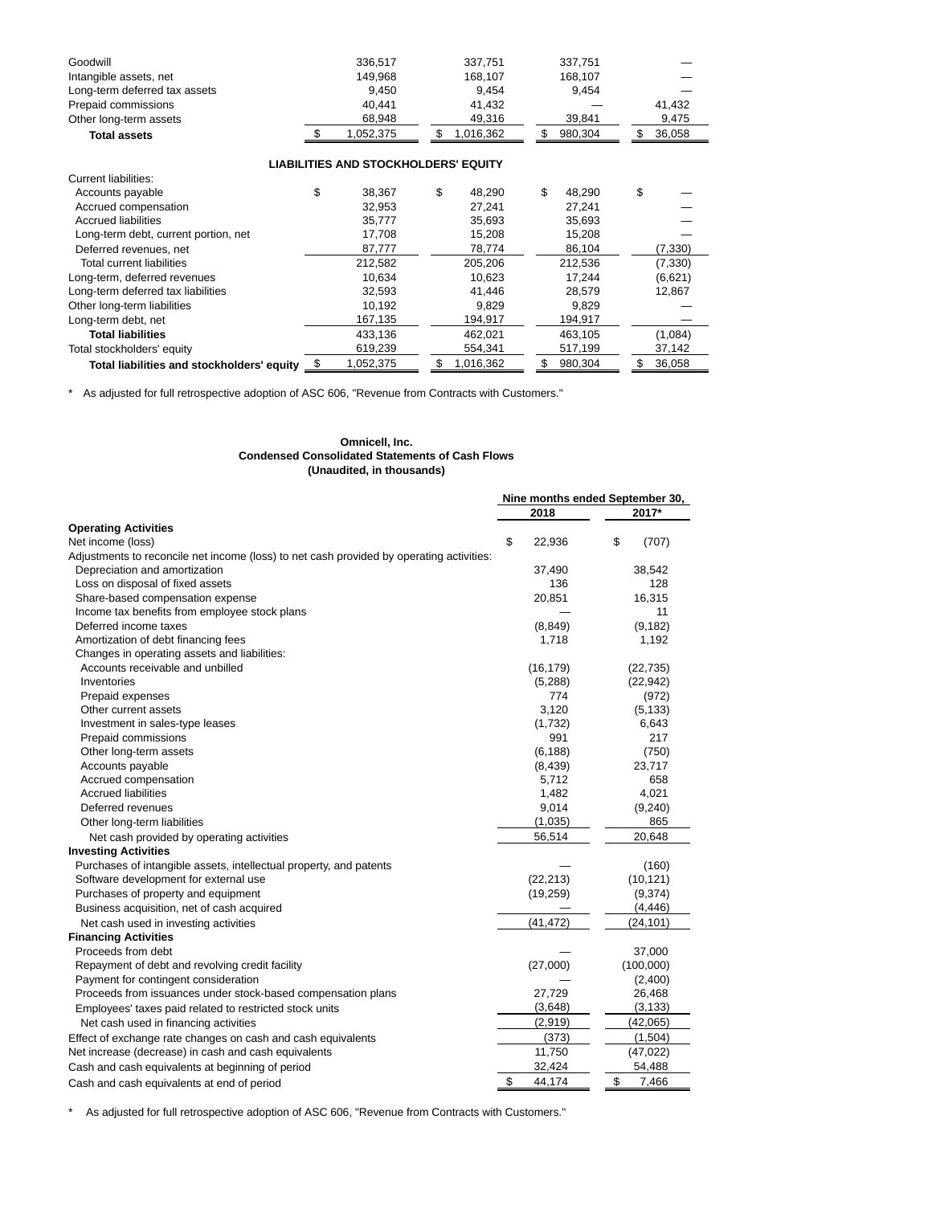| 336.517   | 337.751   | 337.751 |        |
|-----------|-----------|---------|--------|
| 149.968   | 168.107   | 168.107 |        |
| 9.450     | 9.454     | 9.454   |        |
| 40.441    | 41.432    |         | 41.432 |
| 68.948    | 49.316    | 39.841  | 9,475  |
| 1.052.375 | 1.016.362 | 980.304 | 36.058 |
|           |           |         |        |

# **LIABILITIES AND STOCKHOLDERS' EQUITY**

| Current liabilities:                         |              |              |              |     |          |
|----------------------------------------------|--------------|--------------|--------------|-----|----------|
| Accounts payable                             | \$<br>38.367 | \$<br>48.290 | \$<br>48.290 | \$  |          |
| Accrued compensation                         | 32.953       | 27.241       | 27.241       |     |          |
| <b>Accrued liabilities</b>                   | 35,777       | 35,693       | 35,693       |     |          |
| Long-term debt, current portion, net         | 17.708       | 15.208       | 15.208       |     |          |
| Deferred revenues, net                       | 87,777       | 78,774       | 86,104       |     | (7, 330) |
| Total current liabilities                    | 212,582      | 205.206      | 212.536      |     | (7, 330) |
| Long-term, deferred revenues                 | 10.634       | 10.623       | 17.244       |     | (6,621)  |
| Long-term deferred tax liabilities           | 32,593       | 41.446       | 28.579       |     | 12,867   |
| Other long-term liabilities                  | 10.192       | 9.829        | 9.829        |     |          |
| Long-term debt, net                          | 167,135      | 194,917      | 194,917      |     |          |
| <b>Total liabilities</b>                     | 433.136      | 462.021      | 463.105      |     | (1,084)  |
| Total stockholders' equity                   | 619,239      | 554,341      | 517,199      |     | 37,142   |
| Total liabilities and stockholders' equity 5 | 1,052,375    | 1,016,362    | 980.304      | \$. | 36,058   |
|                                              |              |              |              |     |          |

\* As adjusted for full retrospective adoption of ASC 606, "Revenue from Contracts with Customers."

## **Omnicell, Inc. Condensed Consolidated Statements of Cash Flows (Unaudited, in thousands)**

|                                                                                          |              | Nine months ended September 30, |
|------------------------------------------------------------------------------------------|--------------|---------------------------------|
|                                                                                          | 2018         | 2017*                           |
| <b>Operating Activities</b>                                                              |              |                                 |
| Net income (loss)                                                                        | \$<br>22,936 | \$<br>(707)                     |
| Adjustments to reconcile net income (loss) to net cash provided by operating activities: |              |                                 |
| Depreciation and amortization                                                            | 37,490       | 38,542                          |
| Loss on disposal of fixed assets                                                         | 136          | 128                             |
| Share-based compensation expense                                                         | 20,851       | 16,315                          |
| Income tax benefits from employee stock plans                                            |              | 11                              |
| Deferred income taxes                                                                    | (8, 849)     | (9, 182)                        |
| Amortization of debt financing fees                                                      | 1,718        | 1,192                           |
| Changes in operating assets and liabilities:                                             |              |                                 |
| Accounts receivable and unbilled                                                         | (16, 179)    | (22, 735)                       |
| Inventories                                                                              | (5,288)      | (22, 942)                       |
| Prepaid expenses                                                                         | 774          | (972)                           |
| Other current assets                                                                     | 3.120        | (5, 133)                        |
| Investment in sales-type leases                                                          | (1,732)      | 6,643                           |
| Prepaid commissions                                                                      | 991          | 217                             |
| Other long-term assets                                                                   | (6, 188)     | (750)                           |
| Accounts payable                                                                         | (8, 439)     | 23,717                          |
| Accrued compensation                                                                     | 5,712        | 658                             |
| <b>Accrued liabilities</b>                                                               | 1,482        | 4,021                           |
| Deferred revenues                                                                        | 9,014        | (9, 240)                        |
| Other long-term liabilities                                                              | (1,035)      | 865                             |
| Net cash provided by operating activities                                                | 56,514       | 20,648                          |
| <b>Investing Activities</b>                                                              |              |                                 |
| Purchases of intangible assets, intellectual property, and patents                       |              | (160)                           |
| Software development for external use                                                    | (22, 213)    | (10, 121)                       |
| Purchases of property and equipment                                                      | (19, 259)    | (9,374)                         |
| Business acquisition, net of cash acquired                                               |              | (4, 446)                        |
| Net cash used in investing activities                                                    | (41, 472)    | (24, 101)                       |
| <b>Financing Activities</b>                                                              |              |                                 |
| Proceeds from debt                                                                       |              | 37,000                          |
| Repayment of debt and revolving credit facility                                          | (27,000)     | (100,000)                       |
| Payment for contingent consideration                                                     |              | (2,400)                         |
| Proceeds from issuances under stock-based compensation plans                             | 27,729       | 26,468                          |
| Employees' taxes paid related to restricted stock units                                  | (3,648)      | (3, 133)                        |
| Net cash used in financing activities                                                    | (2,919)      | (42,065)                        |
| Effect of exchange rate changes on cash and cash equivalents                             | (373)        | (1,504)                         |
| Net increase (decrease) in cash and cash equivalents                                     | 11,750       | (47, 022)                       |
| Cash and cash equivalents at beginning of period                                         | 32,424       | 54,488                          |
| Cash and cash equivalents at end of period                                               | \$<br>44,174 | \$<br>7,466                     |
|                                                                                          |              |                                 |

\* As adjusted for full retrospective adoption of ASC 606, "Revenue from Contracts with Customers."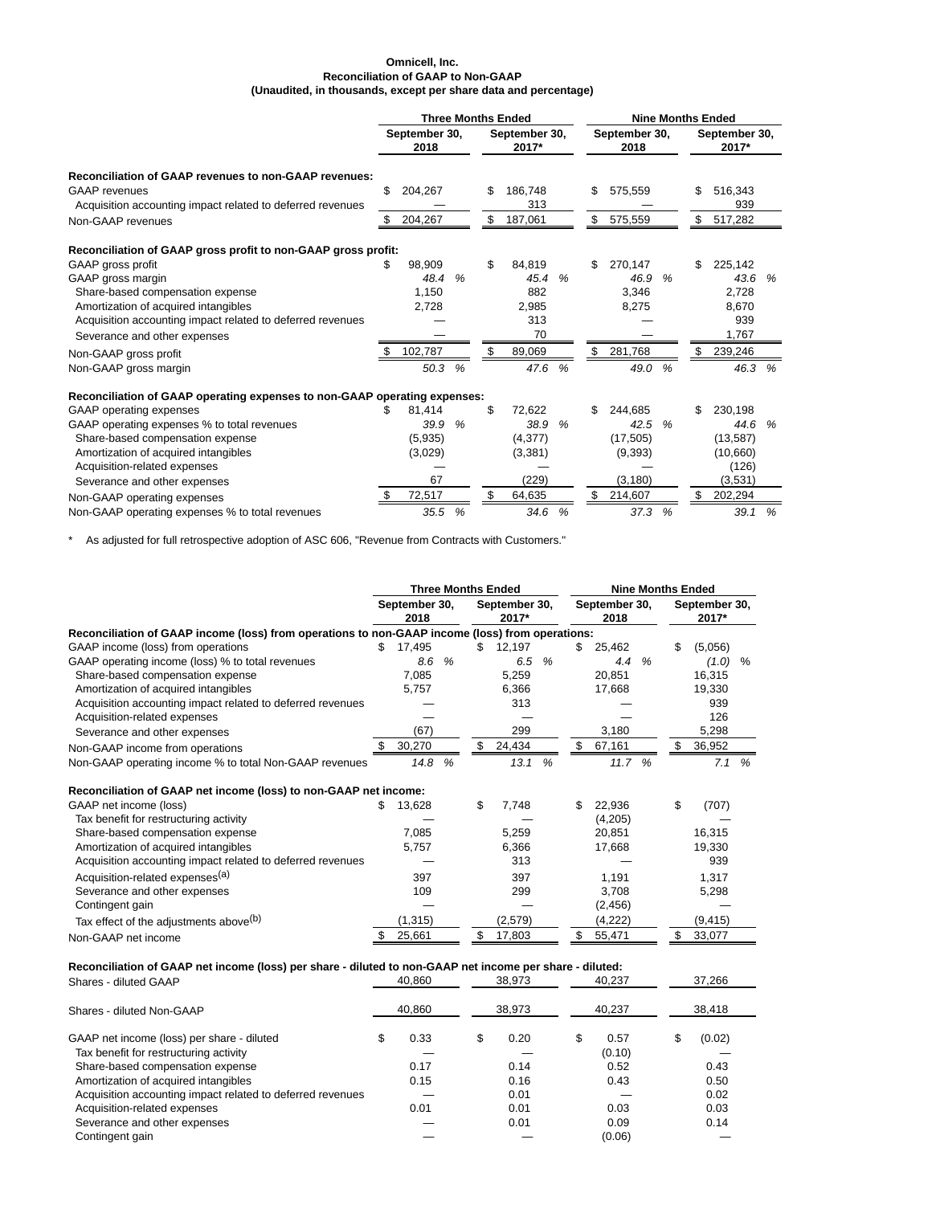# **Omnicell, Inc. Reconciliation of GAAP to Non-GAAP (Unaudited, in thousands, except per share data and percentage)**

|                                                                           |    |                       |   | <b>Three Months Ended</b> |                        |               |     | <b>Nine Months Ended</b> |               |     |                        |   |  |
|---------------------------------------------------------------------------|----|-----------------------|---|---------------------------|------------------------|---------------|-----|--------------------------|---------------|-----|------------------------|---|--|
|                                                                           |    | September 30,<br>2018 |   |                           | September 30,<br>2017* |               |     | September 30,<br>2018    |               |     | September 30,<br>2017* |   |  |
| <b>Reconciliation of GAAP revenues to non-GAAP revenues:</b>              |    |                       |   |                           |                        |               |     |                          |               |     |                        |   |  |
| <b>GAAP</b> revenues                                                      | \$ | 204,267               |   | \$                        | 186,748                |               | \$  | 575,559                  |               | \$  | 516,343                |   |  |
| Acquisition accounting impact related to deferred revenues                |    |                       |   |                           | 313                    |               |     |                          |               |     | 939                    |   |  |
| Non-GAAP revenues                                                         | S. | 204,267               |   | \$                        | 187,061                |               | \$  | 575,559                  |               | \$  | 517,282                |   |  |
| Reconciliation of GAAP gross profit to non-GAAP gross profit:             |    |                       |   |                           |                        |               |     |                          |               |     |                        |   |  |
| GAAP gross profit                                                         | \$ | 98,909                |   | \$                        | 84,819                 |               | \$  | 270,147                  |               | \$  | 225,142                |   |  |
| GAAP gross margin                                                         |    | 48.4                  | % |                           | 45.4                   | %             |     | 46.9                     | %             |     | 43.6                   | % |  |
| Share-based compensation expense                                          |    | 1,150                 |   |                           | 882                    |               |     | 3.346                    |               |     | 2.728                  |   |  |
| Amortization of acquired intangibles                                      |    | 2,728                 |   |                           | 2,985                  |               |     | 8,275                    |               |     | 8,670                  |   |  |
| Acquisition accounting impact related to deferred revenues                |    |                       |   |                           | 313                    |               |     |                          |               |     | 939                    |   |  |
| Severance and other expenses                                              |    |                       |   |                           | 70                     |               |     |                          |               |     | 1,767                  |   |  |
| Non-GAAP gross profit                                                     | -S | 102,787               |   | \$                        | 89,069                 |               | \$  | 281,768                  |               | \$  | 239,246                |   |  |
| Non-GAAP gross margin                                                     |    | 50.3                  | % |                           | 47.6                   | $\%$          |     | 49.0                     | %             |     | 46.3 %                 |   |  |
| Reconciliation of GAAP operating expenses to non-GAAP operating expenses: |    |                       |   |                           |                        |               |     |                          |               |     |                        |   |  |
| <b>GAAP</b> operating expenses                                            | S  | 81.414                |   | \$                        | 72.622                 |               | \$. | 244.685                  |               | \$. | 230.198                |   |  |
| GAAP operating expenses % to total revenues                               |    | 39.9                  | % |                           | 38.9                   | $\frac{9}{6}$ |     | 42.5                     | $\frac{9}{6}$ |     | 44.6 %                 |   |  |
| Share-based compensation expense                                          |    | (5,935)               |   |                           | (4, 377)               |               |     | (17, 505)                |               |     | (13, 587)              |   |  |
| Amortization of acquired intangibles                                      |    | (3,029)               |   |                           | (3,381)                |               |     | (9,393)                  |               |     | (10,660)               |   |  |
| Acquisition-related expenses                                              |    |                       |   |                           |                        |               |     |                          |               |     | (126)                  |   |  |
| Severance and other expenses                                              |    | 67                    |   |                           | (229)                  |               |     | (3, 180)                 |               |     | (3,531)                |   |  |
| Non-GAAP operating expenses                                               |    | 72,517                |   | \$                        | 64,635                 |               | \$  | 214,607                  |               | \$  | 202,294                |   |  |
| Non-GAAP operating expenses % to total revenues                           |    | 35.5                  | % |                           | 34.6                   | %             |     | 37.3                     | %             |     | 39.1                   | % |  |

\* As adjusted for full retrospective adoption of ASC 606, "Revenue from Contracts with Customers."

|                                                                                                 | <b>Three Months Ended</b> |          |   |     |                        |   |                       |          | <b>Nine Months Ended</b> |    |                        |      |
|-------------------------------------------------------------------------------------------------|---------------------------|----------|---|-----|------------------------|---|-----------------------|----------|--------------------------|----|------------------------|------|
|                                                                                                 | September 30,<br>2018     |          |   |     | September 30,<br>2017* |   | September 30,<br>2018 |          |                          |    | September 30,<br>2017* |      |
| Reconciliation of GAAP income (loss) from operations to non-GAAP income (loss) from operations: |                           |          |   |     |                        |   |                       |          |                          |    |                        |      |
| GAAP income (loss) from operations                                                              | \$.                       | 17,495   |   | \$. | 12,197                 |   | \$.                   | 25,462   |                          | \$ | (5,056)                |      |
| GAAP operating income (loss) % to total revenues                                                |                           | 8.6      | % |     | 6.5                    | % |                       | 4.4      | %                        |    | (1.0)                  | $\%$ |
| Share-based compensation expense                                                                |                           | 7,085    |   |     | 5,259                  |   |                       | 20,851   |                          |    | 16,315                 |      |
| Amortization of acquired intangibles                                                            |                           | 5.757    |   |     | 6,366                  |   |                       | 17,668   |                          |    | 19,330                 |      |
| Acquisition accounting impact related to deferred revenues                                      |                           |          |   |     | 313                    |   |                       |          |                          |    | 939                    |      |
| Acquisition-related expenses                                                                    |                           |          |   |     |                        |   |                       |          |                          |    | 126                    |      |
| Severance and other expenses                                                                    |                           | (67)     |   |     | 299                    |   |                       | 3,180    |                          |    | 5,298                  |      |
| Non-GAAP income from operations                                                                 |                           | 30,270   |   | \$  | 24,434                 |   | \$                    | 67,161   |                          |    | 36,952                 |      |
| Non-GAAP operating income % to total Non-GAAP revenues                                          |                           | 14.8     | % |     | 13.1                   | % |                       | 11.7 %   |                          |    | 7.1                    | %    |
| Reconciliation of GAAP net income (loss) to non-GAAP net income:                                |                           |          |   |     |                        |   |                       |          |                          |    |                        |      |
| GAAP net income (loss)                                                                          | S                         | 13,628   |   | \$  | 7,748                  |   | \$                    | 22,936   |                          | \$ | (707)                  |      |
| Tax benefit for restructuring activity                                                          |                           |          |   |     |                        |   |                       | (4,205)  |                          |    |                        |      |
| Share-based compensation expense                                                                |                           | 7,085    |   |     | 5,259                  |   |                       | 20,851   |                          |    | 16,315                 |      |
| Amortization of acquired intangibles                                                            |                           | 5,757    |   |     | 6,366                  |   |                       | 17,668   |                          |    | 19,330                 |      |
| Acquisition accounting impact related to deferred revenues                                      |                           |          |   |     | 313                    |   |                       |          |                          |    | 939                    |      |
| Acquisition-related expenses <sup>(a)</sup>                                                     |                           | 397      |   |     | 397                    |   |                       | 1,191    |                          |    | 1,317                  |      |
| Severance and other expenses                                                                    |                           | 109      |   |     | 299                    |   |                       | 3,708    |                          |    | 5,298                  |      |
| Contingent gain                                                                                 |                           |          |   |     |                        |   |                       | (2, 456) |                          |    |                        |      |
| Tax effect of the adjustments above(b)                                                          |                           | (1, 315) |   |     | (2,579)                |   |                       | (4,222)  |                          |    | (9, 415)               |      |
| Non-GAAP net income                                                                             |                           | 25,661   |   | \$  | 17,803                 |   | \$                    | 55,471   |                          |    | 33,077                 |      |

# **Reconciliation of GAAP net income (loss) per share - diluted to non-GAAP net income per share - diluted:**

| Shares - diluted GAAP                                      |    | 40.860 | 38.973     |   | 40.237 | 37.266       |  |
|------------------------------------------------------------|----|--------|------------|---|--------|--------------|--|
| Shares - diluted Non-GAAP                                  |    | 40.860 | 38.973     |   | 40.237 | 38.418       |  |
| GAAP net income (loss) per share - diluted                 | J. | 0.33   | \$<br>0.20 | S | 0.57   | \$<br>(0.02) |  |
| Tax benefit for restructuring activity                     |    |        |            |   | (0.10) |              |  |
| Share-based compensation expense                           |    | 0.17   | 0.14       |   | 0.52   | 0.43         |  |
| Amortization of acquired intangibles                       |    | 0.15   | 0.16       |   | 0.43   | 0.50         |  |
| Acquisition accounting impact related to deferred revenues |    |        | 0.01       |   |        | 0.02         |  |
| Acquisition-related expenses                               |    | 0.01   | 0.01       |   | 0.03   | 0.03         |  |
| Severance and other expenses                               |    |        | 0.01       |   | 0.09   | 0.14         |  |
| Contingent gain                                            |    |        |            |   | (0.06) |              |  |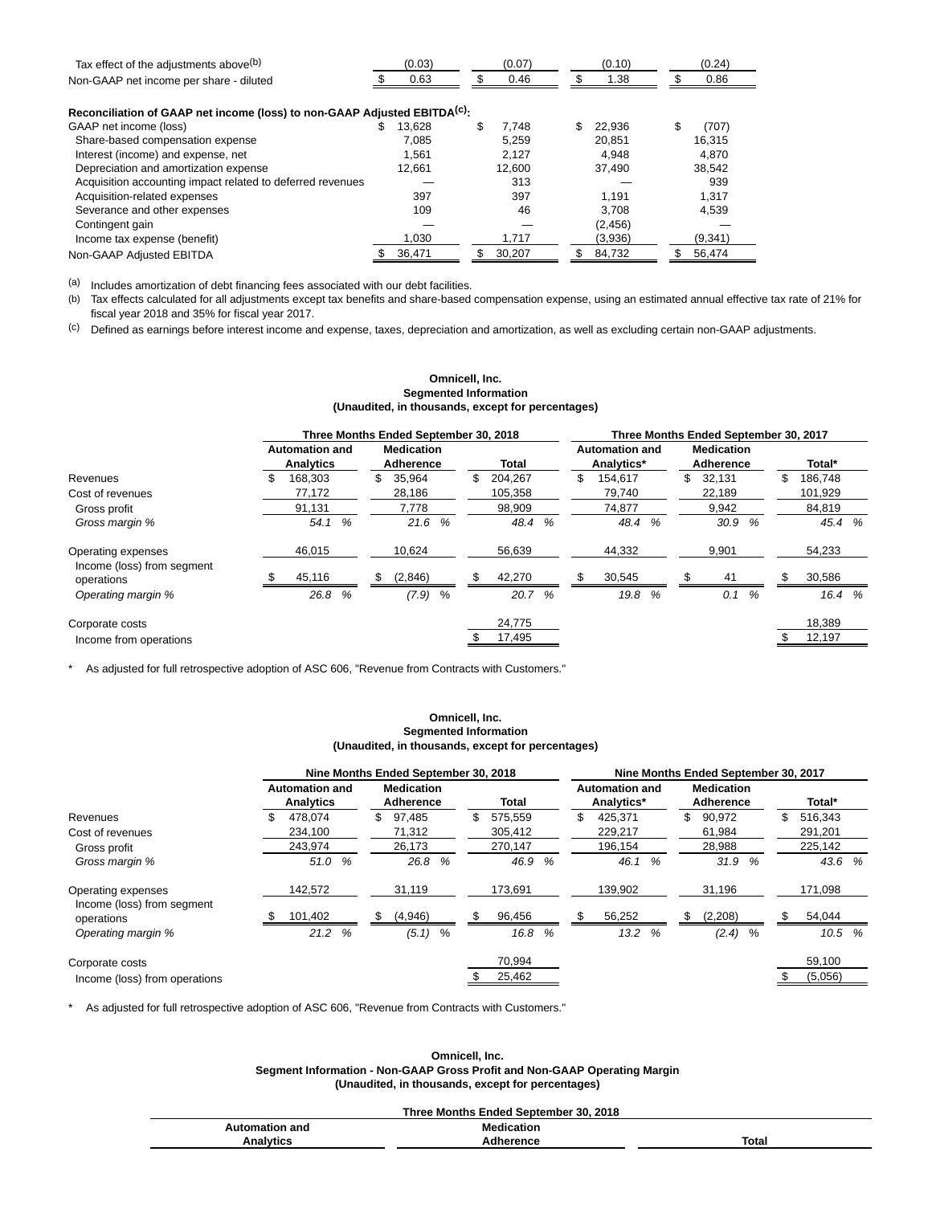| Tax effect of the adjustments above <sup>(b)</sup>                                    |   | (0.03) | (0.07)      | (0.10)   | (0.24)      |  |
|---------------------------------------------------------------------------------------|---|--------|-------------|----------|-------------|--|
| Non-GAAP net income per share - diluted                                               |   | 0.63   | 0.46        | 1.38     | 0.86        |  |
| Reconciliation of GAAP net income (loss) to non-GAAP Adjusted EBITDA <sup>(c)</sup> : |   |        |             |          |             |  |
| GAAP net income (loss)                                                                | S | 13.628 | \$<br>7.748 | 22.936   | \$<br>(707) |  |
| Share-based compensation expense                                                      |   | 7.085  | 5.259       | 20.851   | 16.315      |  |
| Interest (income) and expense, net                                                    |   | 1.561  | 2.127       | 4.948    | 4.870       |  |
| Depreciation and amortization expense                                                 |   | 12.661 | 12.600      | 37.490   | 38,542      |  |
| Acquisition accounting impact related to deferred revenues                            |   |        | 313         |          | 939         |  |
| Acquisition-related expenses                                                          |   | 397    | 397         | 1.191    | 1.317       |  |
| Severance and other expenses                                                          |   | 109    | 46          | 3.708    | 4.539       |  |
| Contingent gain                                                                       |   |        |             | (2, 456) |             |  |
| Income tax expense (benefit)                                                          |   | 1.030  | 1.717       | (3,936)  | (9,341)     |  |
| Non-GAAP Adjusted EBITDA                                                              |   | 36.471 | 30.207      | 84,732   | 56.474      |  |

(a) Includes amortization of debt financing fees associated with our debt facilities.<br>(b) Tax effects calculated for all adjustments except tax benefits and share-based

Tax effects calculated for all adjustments except tax benefits and share-based compensation expense, using an estimated annual effective tax rate of 21% for fiscal year 2018 and 35% for fiscal year 2017.

(c) Defined as earnings before interest income and expense, taxes, depreciation and amortization, as well as excluding certain non-GAAP adjustments.

## **Omnicell, Inc. Segmented Information (Unaudited, in thousands, except for percentages)**

|                                          |                                           | Three Months Ended September 30, 2018 |                | Three Months Ended September 30, 2017 |                                       |               |  |  |  |  |  |  |
|------------------------------------------|-------------------------------------------|---------------------------------------|----------------|---------------------------------------|---------------------------------------|---------------|--|--|--|--|--|--|
|                                          | <b>Automation and</b><br><b>Analytics</b> | <b>Medication</b><br>Adherence        | <b>Total</b>   | <b>Automation and</b><br>Analytics*   | <b>Medication</b><br><b>Adherence</b> | Total*        |  |  |  |  |  |  |
| Revenues                                 | 168.303                                   | 35,964<br>S.                          | 204.267<br>\$. | 154.617                               | 32.131<br>\$                          | 186.748<br>\$ |  |  |  |  |  |  |
| Cost of revenues                         | 77,172                                    | 28,186                                | 105.358        | 79.740                                | 22,189                                | 101.929       |  |  |  |  |  |  |
| Gross profit                             | 91,131                                    | 7.778                                 | 98.909         | 74,877                                | 9,942                                 | 84,819        |  |  |  |  |  |  |
| Gross margin %                           | %<br>54.1                                 | 21.6<br>%                             | %<br>48.4      | %<br>48.4                             | 30.9<br>$\frac{9}{6}$                 | 45.4 %        |  |  |  |  |  |  |
| Operating expenses                       | 46,015                                    | 10,624                                | 56,639         | 44,332                                | 9,901                                 | 54,233        |  |  |  |  |  |  |
| Income (loss) from segment<br>operations | 45,116                                    | (2,846)                               | 42,270         | 30,545                                | 41                                    | 30,586        |  |  |  |  |  |  |
| Operating margin %                       | 26.8<br>%                                 | %<br>(7.9)                            | 20.7<br>%      | %<br>19.8                             | $\frac{9}{6}$<br>0.1                  | 16.4 %        |  |  |  |  |  |  |
| Corporate costs                          |                                           |                                       | 24,775         |                                       |                                       | 18,389        |  |  |  |  |  |  |
| Income from operations                   |                                           |                                       | 17.495         |                                       |                                       | 12.197        |  |  |  |  |  |  |

\* As adjusted for full retrospective adoption of ASC 606, "Revenue from Contracts with Customers."

# **Omnicell, Inc. Segmented Information (Unaudited, in thousands, except for percentages)**

|                                                                    |                                    | Nine Months Ended September 30, 2018 |                          | Nine Months Ended September 30, 2017 |                                       |                          |  |  |  |  |  |  |  |
|--------------------------------------------------------------------|------------------------------------|--------------------------------------|--------------------------|--------------------------------------|---------------------------------------|--------------------------|--|--|--|--|--|--|--|
|                                                                    | <b>Automation and</b><br>Analytics | <b>Medication</b><br>Adherence       | Total                    | <b>Automation and</b><br>Analytics*  | <b>Medication</b><br><b>Adherence</b> | Total*                   |  |  |  |  |  |  |  |
| Revenues<br>Cost of revenues                                       | 478.074<br>234.100                 | \$<br>97.485<br>71.312               | \$<br>575.559<br>305.412 | \$<br>425.371<br>229.217             | \$<br>90,972<br>61,984                | \$<br>516.343<br>291.201 |  |  |  |  |  |  |  |
| Gross profit                                                       | 243.974                            | 26.173                               | 270.147                  | 196.154                              | 28,988                                | 225.142                  |  |  |  |  |  |  |  |
| Gross margin %<br>Operating expenses<br>Income (loss) from segment | 51.0 %<br>142,572                  | 26.8<br>%<br>31,119                  | 46.9<br>%<br>173.691     | %<br>46.1<br>139,902                 | 31.9<br>$\%$<br>31,196                | 43.6%<br>171,098         |  |  |  |  |  |  |  |
| operations                                                         | 101,402                            | (4,946)<br>S                         | 96,456                   | 56,252                               | (2,208)                               | 54,044<br>\$.            |  |  |  |  |  |  |  |
| Operating margin %                                                 | 21.2%                              | (5.1)<br>%                           | 16.8<br>%                | 13.2<br>%                            | $(2.4)$ %                             | 10.5%                    |  |  |  |  |  |  |  |
| Corporate costs                                                    |                                    |                                      | 70,994                   |                                      |                                       | 59,100                   |  |  |  |  |  |  |  |
| Income (loss) from operations                                      |                                    |                                      | 25,462                   |                                      |                                       | (5,056)                  |  |  |  |  |  |  |  |

\* As adjusted for full retrospective adoption of ASC 606, "Revenue from Contracts with Customers."

**Omnicell, Inc. Segment Information - Non-GAAP Gross Profit and Non-GAAP Operating Margin (Unaudited, in thousands, except for percentages)**

### **Three Months Ended September 30, 2018**

| Automation and | <b>Medication</b> |       |  |  |  |  |  |  |  |  |
|----------------|-------------------|-------|--|--|--|--|--|--|--|--|
| Analytics      | Adherence         | Total |  |  |  |  |  |  |  |  |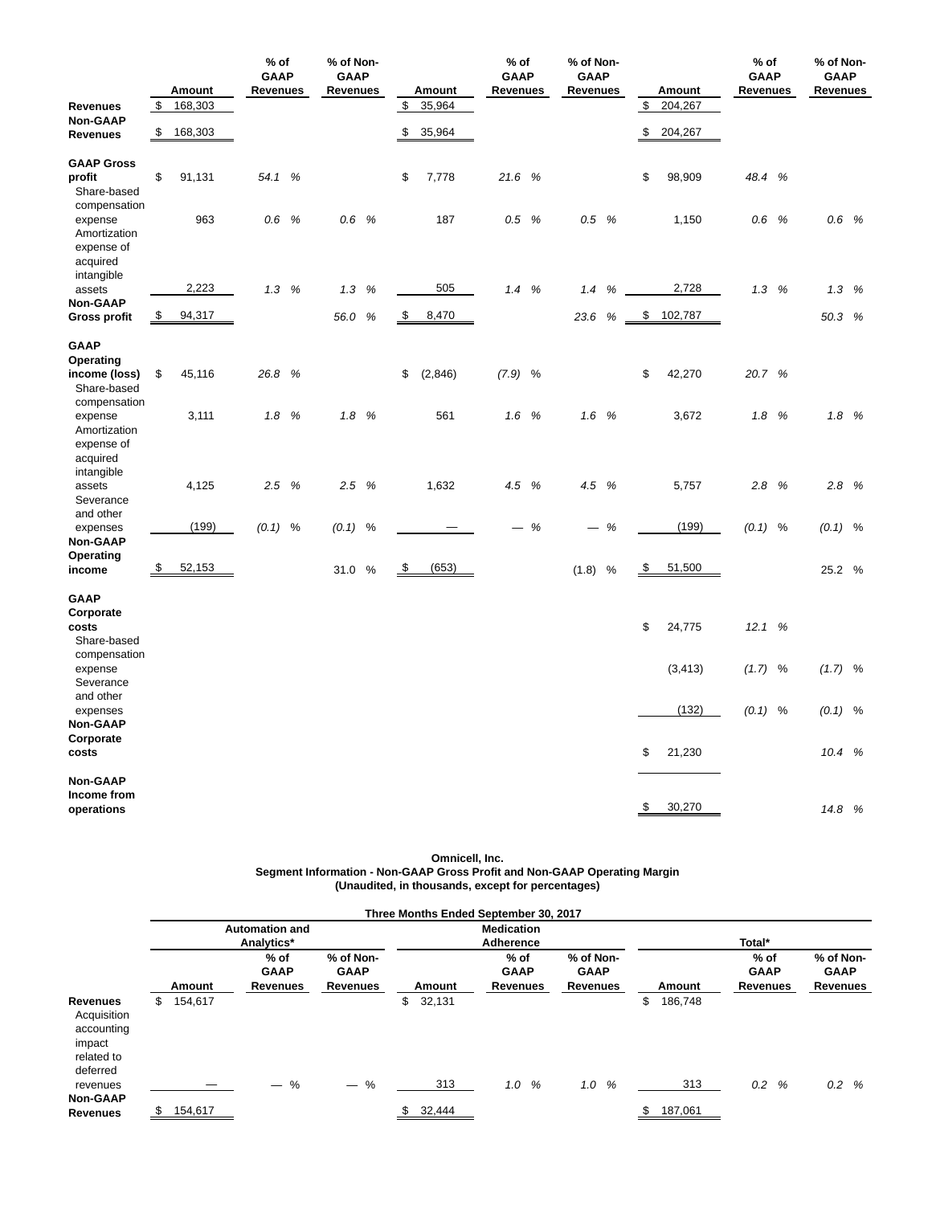|                                                                 |                                 | Amount  | $%$ of<br><b>GAAP</b><br>Revenues |   | % of Non-<br><b>GAAP</b><br><b>Revenues</b> |      |           | Amount  | $%$ of<br><b>GAAP</b><br><b>Revenues</b> |   | % of Non-<br><b>GAAP</b><br><b>Revenues</b> |                    | Amount                   | $%$ of<br><b>GAAP</b><br><b>Revenues</b> |   | % of Non-<br><b>GAAP</b><br><b>Revenues</b> |  |
|-----------------------------------------------------------------|---------------------------------|---------|-----------------------------------|---|---------------------------------------------|------|-----------|---------|------------------------------------------|---|---------------------------------------------|--------------------|--------------------------|------------------------------------------|---|---------------------------------------------|--|
| <b>Revenues</b>                                                 | \$                              | 168,303 |                                   |   |                                             |      | \$        | 35,964  |                                          |   |                                             | \$                 | 204,267                  |                                          |   |                                             |  |
| <b>Non-GAAP</b><br><b>Revenues</b>                              | \$                              | 168,303 |                                   |   |                                             |      | \$        | 35,964  |                                          |   |                                             | \$                 | 204,267                  |                                          |   |                                             |  |
| <b>GAAP Gross</b><br>profit<br>Share-based<br>compensation      | \$                              | 91,131  | 54.1                              | % |                                             |      | \$        | 7,778   | 21.6 %                                   |   |                                             | \$                 | 98,909                   | 48.4 %                                   |   |                                             |  |
| expense<br>Amortization<br>expense of<br>acquired<br>intangible |                                 | 963     | 0.6                               | % | 0.6 %                                       |      |           | 187     | 0.5 %                                    |   | 0.5 %                                       |                    | 1,150                    | 0.6 %                                    |   | 0.6 %                                       |  |
| assets                                                          |                                 | 2,223   | 1.3                               | % | 1.3                                         | %    |           | 505     | 1.4%                                     |   | 1.4                                         | $\%$               | 2,728                    | 1.3%                                     |   | 1.3%                                        |  |
| <b>Non-GAAP</b><br><b>Gross profit</b>                          | $\frac{\mathsf{s}}{\mathsf{s}}$ | 94,317  |                                   |   | 56.0 %                                      |      | \$        | 8,470   |                                          |   | 23.6                                        | %                  | $\frac{1}{2}$<br>102,787 |                                          |   | 50.3 %                                      |  |
| <b>GAAP</b>                                                     |                                 |         |                                   |   |                                             |      |           |         |                                          |   |                                             |                    |                          |                                          |   |                                             |  |
| Operating                                                       |                                 |         |                                   |   |                                             |      |           |         |                                          |   |                                             |                    |                          |                                          |   |                                             |  |
| income (loss)                                                   | \$                              | 45,116  | 26.8                              | % |                                             |      | \$        | (2,846) | $(7.9)$ %                                |   |                                             | \$                 | 42,270                   | 20.7 %                                   |   |                                             |  |
| Share-based<br>compensation                                     |                                 |         |                                   |   |                                             |      |           |         |                                          |   |                                             |                    |                          |                                          |   |                                             |  |
| expense                                                         |                                 | 3,111   | 1.8                               | % | 1.8%                                        |      |           | 561     | 1.6 %                                    |   | 1.6 %                                       |                    | 3,672                    | 1.8%                                     |   | 1.8%                                        |  |
| Amortization<br>expense of<br>acquired                          |                                 |         |                                   |   |                                             |      |           |         |                                          |   |                                             |                    |                          |                                          |   |                                             |  |
| intangible<br>assets<br>Severance                               |                                 | 4,125   | 2.5                               | % | 2.5%                                        |      |           | 1,632   | 4.5                                      | % | 4.5<br>%                                    |                    | 5,757                    | 2.8                                      | % | 2.8%                                        |  |
| and other                                                       |                                 |         |                                   |   |                                             |      |           |         |                                          |   |                                             |                    |                          |                                          |   |                                             |  |
| expenses<br><b>Non-GAAP</b>                                     |                                 | (199)   | $(0.1)$ %                         |   | (0.1)                                       | $\%$ |           |         |                                          | % |                                             | %                  | (199)                    | $(0.1)$ %                                |   | $(0.1)$ %                                   |  |
| Operating                                                       |                                 |         |                                   |   |                                             |      |           |         |                                          |   |                                             |                    |                          |                                          |   |                                             |  |
| income                                                          | $\frac{3}{2}$                   | 52,153  |                                   |   | 31.0                                        | $\%$ | <u>\$</u> | (653)   |                                          |   | (1.8)                                       | $\frac{3}{2}$<br>% | 51,500                   |                                          |   | 25.2 %                                      |  |
| <b>GAAP</b>                                                     |                                 |         |                                   |   |                                             |      |           |         |                                          |   |                                             |                    |                          |                                          |   |                                             |  |
| Corporate<br>costs<br>Share-based                               |                                 |         |                                   |   |                                             |      |           |         |                                          |   |                                             | \$                 | 24,775                   | 12.1 %                                   |   |                                             |  |
| compensation<br>expense<br>Severance                            |                                 |         |                                   |   |                                             |      |           |         |                                          |   |                                             |                    | (3, 413)                 | $(1.7)$ %                                |   | $(1.7)$ %                                   |  |
| and other                                                       |                                 |         |                                   |   |                                             |      |           |         |                                          |   |                                             |                    |                          |                                          |   |                                             |  |
| expenses<br><b>Non-GAAP</b>                                     |                                 |         |                                   |   |                                             |      |           |         |                                          |   |                                             |                    | (132)                    | $(0.1)$ %                                |   | $(0.1)$ %                                   |  |
| Corporate<br>costs                                              |                                 |         |                                   |   |                                             |      |           |         |                                          |   |                                             | \$                 | 21,230                   |                                          |   | 10.4 %                                      |  |
| Non-GAAP                                                        |                                 |         |                                   |   |                                             |      |           |         |                                          |   |                                             |                    |                          |                                          |   |                                             |  |
| Income from<br>operations                                       |                                 |         |                                   |   |                                             |      |           |         |                                          |   |                                             | \$                 | 30,270                   |                                          |   | 14.8 %                                      |  |

### **Omnicell, Inc. Segment Information - Non-GAAP Gross Profit and Non-GAAP Operating Margin (Unaudited, in thousands, except for percentages)**

|                                                                           |    |         |                       |                 |             | Three Months Ended September 30, 2017 |                 |               |                 |                 |  |  |
|---------------------------------------------------------------------------|----|---------|-----------------------|-----------------|-------------|---------------------------------------|-----------------|---------------|-----------------|-----------------|--|--|
|                                                                           |    |         | <b>Automation and</b> |                 |             | <b>Medication</b>                     |                 |               |                 |                 |  |  |
|                                                                           |    |         | Analytics*            |                 |             | Adherence                             |                 | Total*        |                 |                 |  |  |
|                                                                           |    |         | $%$ of                | % of Non-       |             | $%$ of                                | % of Non-       |               | $%$ of          | % of Non-       |  |  |
|                                                                           |    |         | <b>GAAP</b>           | <b>GAAP</b>     |             | <b>GAAP</b>                           | <b>GAAP</b>     |               | <b>GAAP</b>     | <b>GAAP</b>     |  |  |
|                                                                           |    | Amount  | Revenues              | <b>Revenues</b> | Amount      | <b>Revenues</b>                       | <b>Revenues</b> | Amount        | <b>Revenues</b> | <b>Revenues</b> |  |  |
| Revenues<br>Acquisition<br>accounting<br>impact<br>related to<br>deferred | \$ | 154,617 |                       |                 | \$32,131    |                                       |                 | \$<br>186,748 |                 |                 |  |  |
| revenues                                                                  |    |         | %                     | $-$ %           | 313         | %<br>1.0                              | %<br>1.0        | 313           | 0.2<br>%        | 0.2%            |  |  |
| <b>Non-GAAP</b>                                                           |    |         |                       |                 |             |                                       |                 |               |                 |                 |  |  |
| <b>Revenues</b>                                                           | S. | 154,617 |                       |                 | 32,444<br>S |                                       |                 | 187,061<br>S  |                 |                 |  |  |